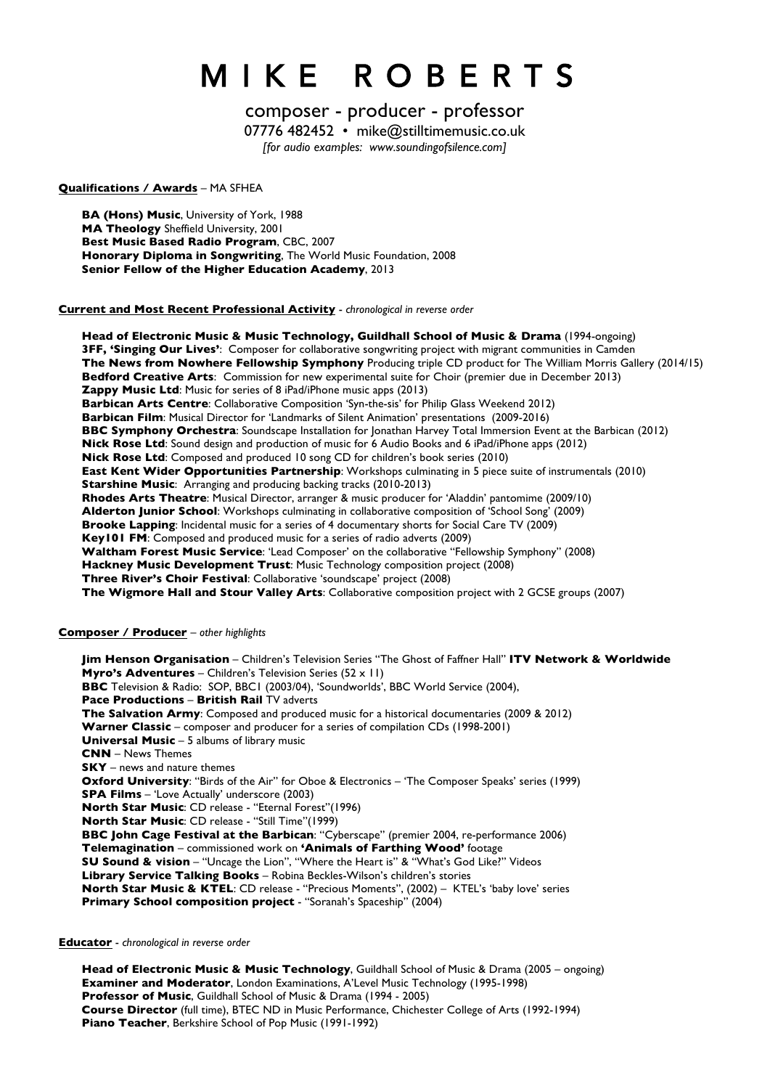# M I K E R O B E R T S

# composer - producer - professor

07776 482452 • mike@stilltimemusic.co.uk

*[for audio examples: www.soundingofsilence.com]*

#### **Qualifications / Awards** – MA SFHEA

**BA (Hons) Music**, University of York, 1988 **MA Theology** Sheffield University, 2001 **Best Music Based Radio Program**, CBC, 2007 **Honorary Diploma in Songwriting**, The World Music Foundation, 2008 **Senior Fellow of the Higher Education Academy**, 2013

**Current and Most Recent Professional Activity** - *chronological in reverse order*

**Head of Electronic Music & Music Technology, Guildhall School of Music & Drama** (1994-ongoing) **3FF, 'Singing Our Lives'**: Composer for collaborative songwriting project with migrant communities in Camden **The News from Nowhere Fellowship Symphony** Producing triple CD product for The William Morris Gallery (2014/15) **Bedford Creative Arts**:Commission for new experimental suite for Choir (premier due in December 2013) **Zappy Music Ltd**: Music for series of 8 iPad/iPhone music apps (2013) **Barbican Arts Centre**: Collaborative Composition 'Syn-the-sis' for Philip Glass Weekend 2012) **Barbican Film**: Musical Director for 'Landmarks of Silent Animation' presentations (2009-2016) **BBC Symphony Orchestra**: Soundscape Installation for Jonathan Harvey Total Immersion Event at the Barbican (2012) **Nick Rose Ltd**: Sound design and production of music for 6 Audio Books and 6 iPad/iPhone apps (2012) **Nick Rose Ltd**: Composed and produced 10 song CD for children's book series (2010) **East Kent Wider Opportunities Partnership**: Workshops culminating in 5 piece suite of instrumentals (2010) **Starshine Music**: Arranging and producing backing tracks (2010-2013) **Rhodes Arts Theatre**: Musical Director, arranger & music producer for 'Aladdin' pantomime (2009/10) **Alderton Junior School**: Workshops culminating in collaborative composition of 'School Song' (2009) **Brooke Lapping**: Incidental music for a series of 4 documentary shorts for Social Care TV (2009) **Key101 FM**: Composed and produced music for a series of radio adverts (2009) **Waltham Forest Music Service**: 'Lead Composer' on the collaborative "Fellowship Symphony" (2008) **Hackney Music Development Trust**: Music Technology composition project (2008) **Three River's Choir Festival**: Collaborative 'soundscape' project (2008) **The Wigmore Hall and Stour Valley Arts**: Collaborative composition project with 2 GCSE groups (2007)

# **Composer / Producer** – *other highlights*

**Jim Henson Organisation** – Children's Television Series "The Ghost of Faffner Hall" **ITV Network & Worldwide Myro's Adventures** – Children's Television Series (52 x 11) **BBC** Television & Radio: SOP, BBC1 (2003/04), 'Soundworlds', BBC World Service (2004), **Pace Productions** – **British Rail** TV adverts **The Salvation Army**: Composed and produced music for a historical documentaries (2009 & 2012) **Warner Classic** – composer and producer for a series of compilation CDs (1998-2001) **Universal Music** – 5 albums of library music **CNN** – News Themes **SKY** – news and nature themes **Oxford University**: "Birds of the Air" for Oboe & Electronics – 'The Composer Speaks' series (1999) **SPA Films** – 'Love Actually' underscore (2003) **North Star Music**: CD release - "Eternal Forest"(1996) **North Star Music**: CD release - "Still Time"(1999) **BBC John Cage Festival at the Barbican**: "Cyberscape" (premier 2004, re-performance 2006) **Telemagination** – commissioned work on **'Animals of Farthing Wood'** footage **SU Sound & vision** – "Uncage the Lion", "Where the Heart is" & "What's God Like?" Videos **Library Service Talking Books** – Robina Beckles-Wilson's children's stories **North Star Music & KTEL: CD** release - "Precious Moments", (2002) - KTEL's 'baby love' series **Primary School composition project** - "Soranah's Spaceship" (2004)

**Educator** - *chronological in reverse order*

**Head of Electronic Music & Music Technology**, Guildhall School of Music & Drama (2005 – ongoing) **Examiner and Moderator**, London Examinations, A'Level Music Technology (1995-1998) **Professor of Music**, Guildhall School of Music & Drama (1994 - 2005) **Course Director** (full time), BTEC ND in Music Performance, Chichester College of Arts (1992-1994) **Piano Teacher**, Berkshire School of Pop Music (1991-1992)